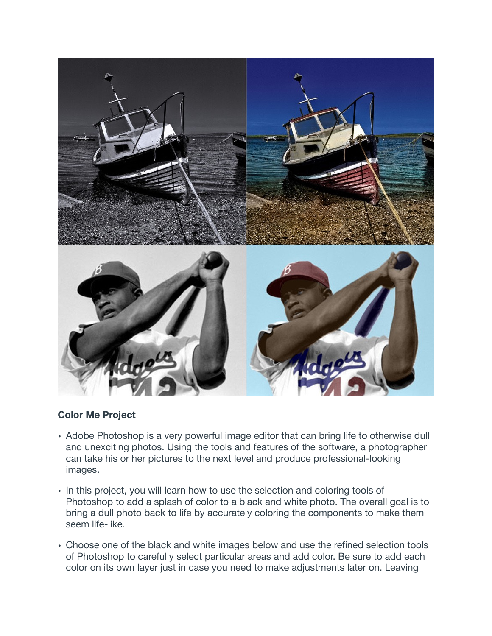

## **Color Me Project**

- Adobe Photoshop is a very powerful image editor that can bring life to otherwise dull and unexciting photos. Using the tools and features of the software, a photographer can take his or her pictures to the next level and produce professional-looking images.
- In this project, you will learn how to use the selection and coloring tools of Photoshop to add a splash of color to a black and white photo. The overall goal is to bring a dull photo back to life by accurately coloring the components to make them seem life-like.
- Choose one of the black and white images below and use the refined selection tools of Photoshop to carefully select particular areas and add color. Be sure to add each color on its own layer just in case you need to make adjustments later on. Leaving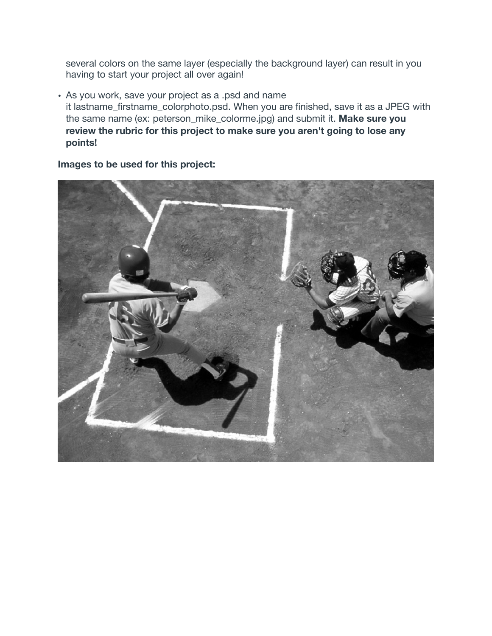several colors on the same layer (especially the background layer) can result in you having to start your project all over again!

• As you work, save your project as a .psd and name it lastname\_firstname\_colorphoto.psd. When you are finished, save it as a JPEG with the same name (ex: peterson\_mike\_colorme.jpg) and submit it. **Make sure you review the rubric for this project to make sure you aren't going to lose any points!**



**Images to be used for this project:**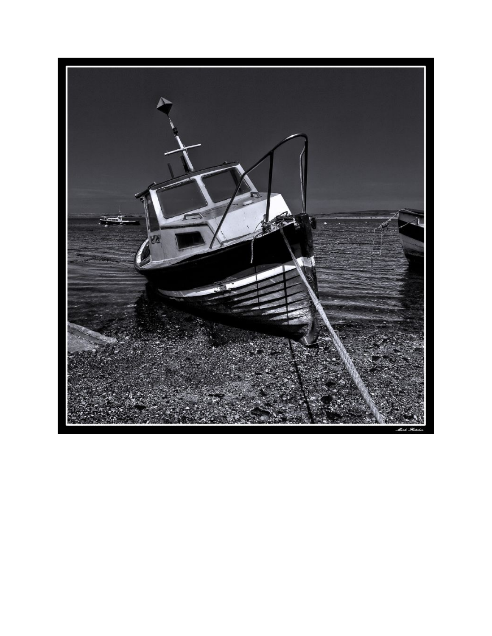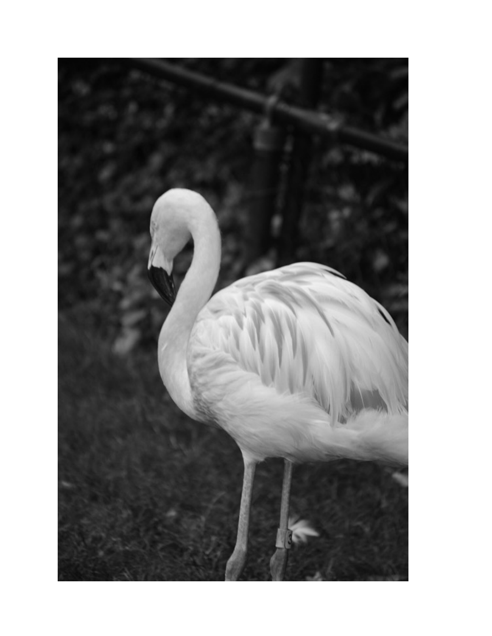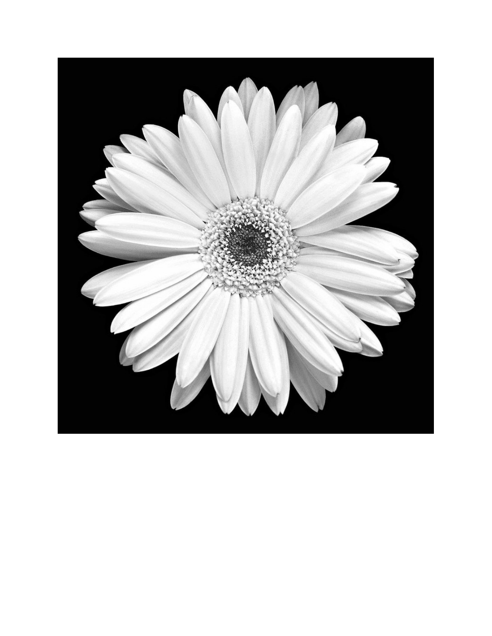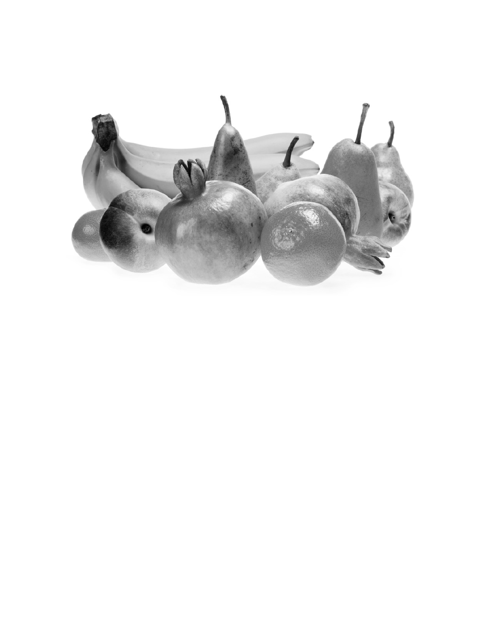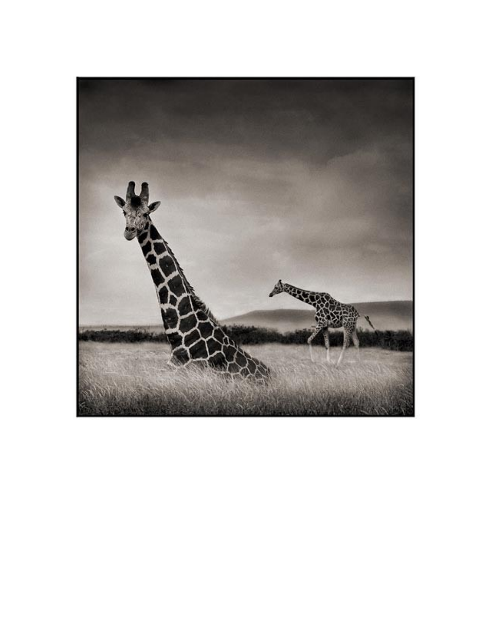